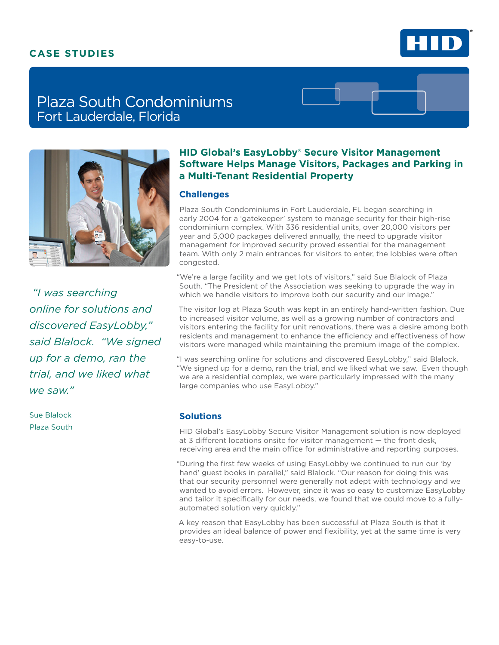## **CASE STUDIES**



# Plaza South Condominiums Fort Lauderdale, Florida



 *"I was searching online for solutions and discovered EasyLobby," said Blalock. "We signed up for a demo, ran the trial, and we liked what we saw."*

Sue Blalock Plaza South

### **HID Global's EasyLobby® Secure Visitor Management Software Helps Manage Visitors, Packages and Parking in a Multi-Tenant Residential Property**

#### **Challenges**

Plaza South Condominiums in Fort Lauderdale, FL began searching in early 2004 for a 'gatekeeper' system to manage security for their high-rise condominium complex. With 336 residential units, over 20,000 visitors per year and 5,000 packages delivered annually, the need to upgrade visitor management for improved security proved essential for the management team. With only 2 main entrances for visitors to enter, the lobbies were often congested.

"We're a large facility and we get lots of visitors," said Sue Blalock of Plaza South. "The President of the Association was seeking to upgrade the way in which we handle visitors to improve both our security and our image."

The visitor log at Plaza South was kept in an entirely hand-written fashion. Due to increased visitor volume, as well as a growing number of contractors and visitors entering the facility for unit renovations, there was a desire among both residents and management to enhance the efficiency and effectiveness of how visitors were managed while maintaining the premium image of the complex.

"I was searching online for solutions and discovered EasyLobby," said Blalock. "We signed up for a demo, ran the trial, and we liked what we saw. Even though we are a residential complex, we were particularly impressed with the many large companies who use EasyLobby."

#### **Solutions**

HID Global's EasyLobby Secure Visitor Management solution is now deployed at 3 different locations onsite for visitor management — the front desk, receiving area and the main office for administrative and reporting purposes.

"During the first few weeks of using EasyLobby we continued to run our 'by hand' guest books in parallel," said Blalock. "Our reason for doing this was that our security personnel were generally not adept with technology and we wanted to avoid errors. However, since it was so easy to customize EasyLobby and tailor it specifically for our needs, we found that we could move to a fullyautomated solution very quickly."

A key reason that EasyLobby has been successful at Plaza South is that it provides an ideal balance of power and flexibility, yet at the same time is very easy-to-use.